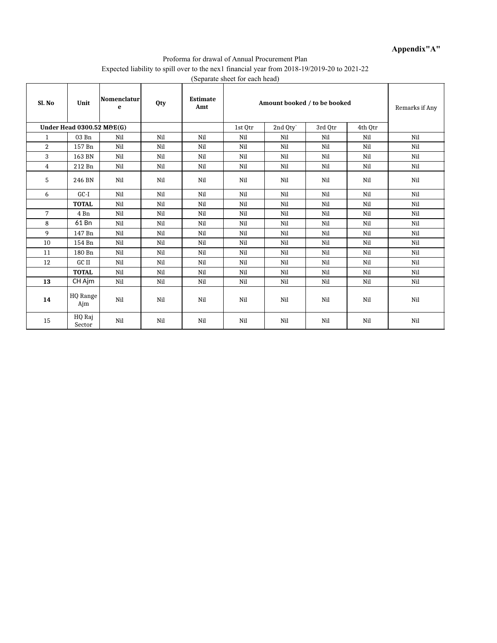#### **Appendix"A"**

#### Proforma for drawal of Annual Procurement Plan Expected liability to spill over to the nex1 financial year from 2018-19/2019-20 to 2021-22 (Separate sheet for each head)

| Sl. No         | Unit                                 | Nomenclatur<br>e | <b>Qty</b> | <b>Estimate</b><br>Amt |         | Amount booked / to be booked |         | Remarks if Any |     |
|----------------|--------------------------------------|------------------|------------|------------------------|---------|------------------------------|---------|----------------|-----|
|                | <b>Under Head 0300.52 M&amp;E(G)</b> |                  |            |                        | 1st Otr | 2nd Qty`                     | 3rd Otr | 4th Otr        |     |
| $\mathbf{1}$   | 03 Bn                                | Nil              | Nil        | Nil                    | Nil     | Nil                          | Nil     | Nil            | Nil |
| $\overline{2}$ | 157 Bn                               | Nil              | Nil        | Nil                    | Nil     | Nil                          | Nil     | Nil            | Nil |
| 3              | 163 BN                               | Nil              | Nil        | Nil                    | Nil     | Nil                          | Nil     | Nil            | Nil |
| $\overline{4}$ | 212 Bn                               | Nil              | Nil        | Nil                    | Nil     | Nil                          | Nil     | Nil            | Nil |
| 5              | 246 BN                               | Nil              | Nil        | Nil                    | Nil     | Nil                          | Nil     | Nil            | Nil |
| 6              | $GC-I$                               | Nil              | Nil        | Nil                    | Nil     | Nil                          | Nil     | Nil            | Nil |
|                | <b>TOTAL</b>                         | Nil              | Nil        | Nil                    | Nil     | Nil                          | Nil     | Nil            | Nil |
| 7              | 4 Bn                                 | Nil              | Nil        | Nil                    | Nil     | Nil                          | Nil     | Nil            | Nil |
| 8              | 61 Bn                                | Nil              | Nil        | Nil                    | Nil     | Nil                          | Nil     | Nil            | Nil |
| 9              | 147 Bn                               | Nil              | Nil        | Nil                    | Nil     | Nil                          | Nil     | Nil            | Nil |
| 10             | 154 Bn                               | Nil              | Nil        | Nil                    | Nil     | Nil                          | Nil     | Nil            | Nil |
| 11             | 180 Bn                               | Nil              | Nil        | Nil                    | Nil     | Nil                          | Nil     | Nil            | Nil |
| 12             | GC II                                | Nil              | Nil        | Nil                    | Nil     | Nil                          | Nil     | Nil            | Nil |
|                | <b>TOTAL</b>                         | Nil              | Nil        | Nil                    | Nil     | Nil                          | Nil     | Nil            | Nil |
| 13             | CH Ajm                               | Nil              | Nil        | Nil                    | Nil     | Nil                          | Nil     | Nil            | Nil |
| 14             | HQ Range<br>Ajm                      | Nil              | Nil        | Nil                    | Nil     | Nil                          | Nil     | Nil            | Nil |
| 15             | HQ Raj<br>Sector                     | Nil              | Nil        | Nil                    | Nil     | Nil                          | Nil     | Nil            | Nil |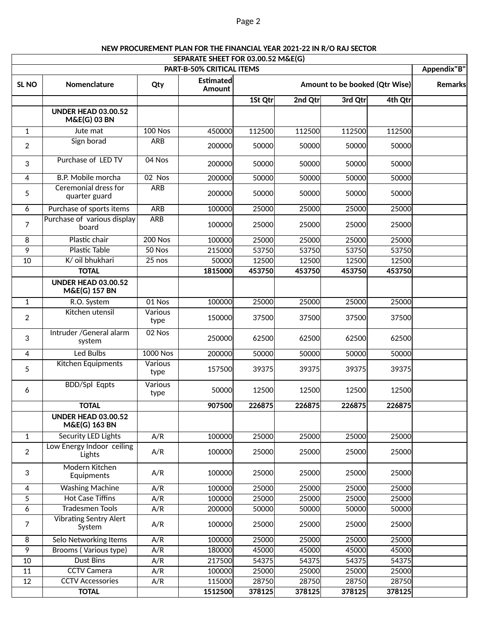#### **SEPARATE SHEET FOR 03.00.52 M&E(G) PART-B-50% CRITICAL ITEMS Appendix"B' Appendix"B' Appendix"B' SL NO Nomenclature Qty Amount to be booked (Qtr Wise) Remarks 1St Qtr 2nd Qtr 3rd Qtr 4th Qtr** 1 | Jute mat | 100 Nos | 450000 | 112500 | 112500 | 112500 | 112500 | 112500 | 1 2 Sign borad ARB <sup>200000</sup> <sup>50000</sup> <sup>50000</sup> <sup>50000</sup> <sup>50000</sup> 3 Purchase of LED TV 04 Nos 200000 <sup>50000</sup> <sup>50000</sup> <sup>50000</sup> <sup>50000</sup> 4 B.P. Mobile morcha 02 Nos 200000 50000 50000 50000 50000 5 ARB 200000 50000 50000 50000 50000 6 Purchase of sports items ARB 100000 25000 25000 25000 25000 25000 7 ARB 100000 25000 25000 25000 25000 8 | Plastic chair | 200 Nos | 100000| 25000| 25000| 25000 25000 9 | Plastic Table | 50 Nos | 215000| 53750| 53750| 53750| 53750 10 | K/ oil bhukhari | 25 nos | 50000 | 12500 | 12500 | 12500 | 12500 | 12500 | 1 **TOTAL 1815000 453750 453750 453750 453750** 1 R.O. System | 01 Nos | 100000| 25000| 25000| 25000| 25000 2 Kitchen utensil 150000 37500 37500 37500 37500 3 02 Nos 250000 62500 62500 62500 62500 4 | Led Bulbs | 1000 Nos | 200000| 50000| 50000| 50000 50000 5 Kitchen Equipments 157500 39375 39375 39375 39375 6 BDD/Spl Eqpts 50000 12500 12500 12500 12500 **TOTAL 907500 226875 226875 226875 226875** 1 | Security LED Lights | A/R | 100000 25000 25000 25000 25000 25000 2 A/R 100000 25000 25000 25000 25000 3 | Faujoments | A/R | 100000| 25000| 25000| 25000| 25000 4 Washing Machine A/R 100000 25000 25000 25000 25000 5 Hot Case Tiffins | A/R | 100000 25000 25000 25000 25000 25000 6 Tradesmen Tools | A/R | 200000 50000 50000 50000 50000 7 | '''''''''''''''''''''''''' | A/R | 100000| 25000| 25000| 25000| 25000<br>System – 100000| 25000| 25000| 25000| 8 | Selo Networking Items | A/R | 100000 25000 25000 25000 25000 25000 9 Brooms ( Various type) A/R 180000 45000 45000 45000 45000 10 | Dust Bins | A/R | 217500 54375 54375 54375 54375 11 | CCTV Camera | A/R | 100000| 25000| 25000| 25000| 25000 12 CCTV Accessories A/R 115000 28750 28750 28750 28750 **TOTAL 1512500 378125 378125 378125 378125 Estimated Amount UNDER HEAD 03.00.52 M&E(G) 03 BN** Ceremonial dress for quarter guard Purchase of various display board **UNDER HEAD 03.00.52 M&E(G) 157 BN** Various type Intruder /General alarm system Various type Various type **UNDER HEAD 03.00.52 M&E(G) 163 BN** Low Energy Indoor ceiling Lights Modern Kitchen Equipments Vibrating Sentry Alert System

#### **NEW PROCUREMENT PLAN FOR THE FINANCIAL YEAR 2021-22 IN R/O RAJ SECTOR**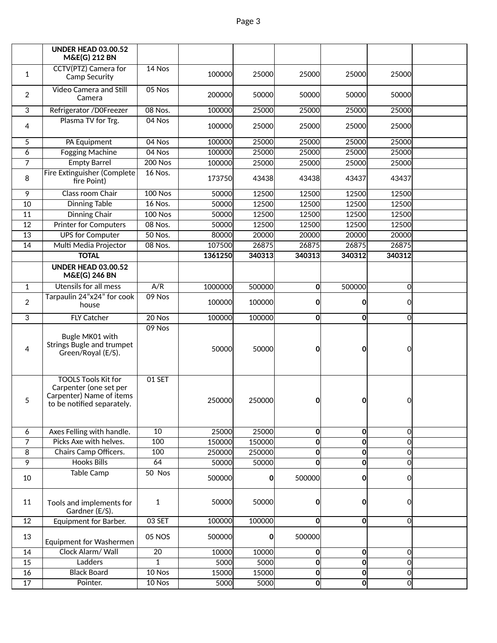|                 | <b>UNDER HEAD 03.00.52</b><br><b>M&amp;E(G) 212 BN</b>                                                         |                |         |              |              |                |                |  |
|-----------------|----------------------------------------------------------------------------------------------------------------|----------------|---------|--------------|--------------|----------------|----------------|--|
| $\mathbf{1}$    | CCTV(PTZ) Camera for<br>Camp Security                                                                          | 14 Nos         | 100000  | 25000        | 25000        | 25000          | 25000          |  |
| $\overline{2}$  | Video Camera and Still<br>Camera                                                                               | 05 Nos         | 200000  | 50000        | 50000        | 50000          | 50000          |  |
| 3               | Refrigerator /D0Freezer                                                                                        | 08 Nos.        | 100000  | 25000        | 25000        | 25000          | 25000          |  |
| 4               | Plasma TV for Trg.                                                                                             | 04 Nos         | 100000  | 25000        | 25000        | 25000          | 25000          |  |
| 5               | PA Equipment                                                                                                   | 04 Nos         | 100000  | 25000        | 25000        | 25000          | 25000          |  |
| 6               | <b>Fogging Machine</b>                                                                                         | 04 Nos         | 100000  | 25000        | 25000        | 25000          | 25000          |  |
| 7               | <b>Empty Barrel</b>                                                                                            | <b>200 Nos</b> | 100000  | 25000        | 25000        | 25000          | 25000          |  |
| 8               | Fire Extinguisher (Complete<br>fire Point)                                                                     | 16 Nos.        | 173750  | 43438        | 43438        | 43437          | 43437          |  |
| 9               | Class room Chair                                                                                               | <b>100 Nos</b> | 50000   | 12500        | 12500        | 12500          | 12500          |  |
| 10              | <b>Dinning Table</b>                                                                                           | 16 Nos.        | 50000   | 12500        | 12500        | 12500          | 12500          |  |
| $\overline{11}$ | <b>Dinning Chair</b>                                                                                           | <b>100 Nos</b> | 50000   | 12500        | 12500        | 12500          | 12500          |  |
| 12              | <b>Printer for Computers</b>                                                                                   | $08$ Nos.      | 50000   | 12500        | 12500        | 12500          | 12500          |  |
| 13              | <b>UPS for Computer</b>                                                                                        | 50 Nos.        | 80000   | 20000        | 20000        | 20000          | 20000          |  |
| 14              | Multi Media Projector                                                                                          | 08 Nos.        | 107500  | 26875        | 26875        | 26875          | 26875          |  |
|                 | <b>TOTAL</b>                                                                                                   |                | 1361250 | 340313       | 340313       | 340312         | 340312         |  |
|                 | <b>UNDER HEAD 03.00.52</b><br><b>M&amp;E(G) 246 BN</b>                                                         |                |         |              |              |                |                |  |
| $\mathbf{1}$    | <b>Utensils for all mess</b>                                                                                   | A/R            | 1000000 | 500000       | 0            | 500000         | 0              |  |
| $\overline{2}$  | Tarpaulin 24"x24" for cook<br>house                                                                            | 09 Nos         | 100000  | 100000       | 0            | 0              | 0              |  |
| 3               | <b>FLY Catcher</b>                                                                                             | $20$ Nos       | 100000  | 100000       | O            | O              | 0              |  |
| 4               | Bugle MK01 with<br>Strings Bugle and trumpet<br>Green/Royal (E/S).                                             | 09 Nos         | 50000   | 50000        | 0            | 0              | 0              |  |
| 5               | <b>TOOLS Tools Kit for</b><br>Carpenter (one set per<br>Carpenter) Name of items<br>to be notified separately. | 01 SET         | 250000  | 250000       | 0            | 0              | 0              |  |
| 6               | Axes Felling with handle.                                                                                      | 10             | 25000   | 25000        | O            | 0              | $\Omega$       |  |
| $\overline{7}$  | Picks Axe with helves.                                                                                         | 100            | 150000  | 150000       | $\mathbf{0}$ | $\mathbf 0$    | $\Omega$       |  |
| 8               | Chairs Camp Officers.                                                                                          | 100            | 250000  | 250000       | $\mathbf{0}$ | $\mathbf{0}$   | $\Omega$       |  |
| 9               | <b>Hooks Bills</b>                                                                                             | 64             | 50000   | 50000        | $\mathbf{0}$ | $\mathbf{0}$   | $\Omega$       |  |
| 10              | <b>Table Camp</b>                                                                                              | 50 Nos         | 500000  | <sup>0</sup> | 500000       | $\mathbf{0}$   | 0              |  |
| 11              | Tools and implements for<br>Gardner (E/S).                                                                     | 1              | 50000   | 50000        | 0            | 0              | $\Omega$       |  |
| 12              | Equipment for Barber.                                                                                          | 03 SET         | 100000  | 100000       | O            | 0              | 0l             |  |
| 13              | Equipment for Washermen                                                                                        | <b>05 NOS</b>  | 500000  | 0l           | 500000       |                |                |  |
| 14              | Clock Alarm/ Wall                                                                                              | 20             | 10000   | 10000        | 0            | 0              | $\Omega$       |  |
| $\overline{15}$ | Ladders                                                                                                        | $\mathbf{1}$   | 5000    | 5000         | 0            | $\mathbf{0}$   | $\overline{0}$ |  |
| 16              | <b>Black Board</b>                                                                                             | 10 Nos         | 15000   | 15000        | 0            | $\mathbf{0}$   | $\overline{0}$ |  |
| $\overline{17}$ | Pointer.                                                                                                       | $10$ Nos       | 5000    | 5000         | <sub>0</sub> | $\overline{0}$ | $\overline{0}$ |  |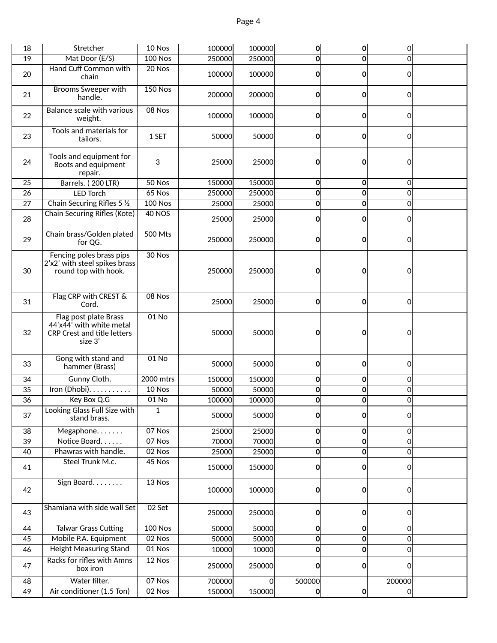| 18 | Stretcher                                                                                   | 10 Nos         | 100000 | 100000   | $\mathbf{0}$ | $\mathbf 0$  | 0              |  |
|----|---------------------------------------------------------------------------------------------|----------------|--------|----------|--------------|--------------|----------------|--|
| 19 | Mat Door (E/S)                                                                              | $100$ Nos      | 250000 | 250000   | 0            | $\mathbf 0$  | $\Omega$       |  |
|    | Hand Cuff Common with                                                                       | $20$ Nos       |        |          |              |              |                |  |
| 20 | chain                                                                                       |                | 100000 | 100000   | 0            | 0            | 0              |  |
| 21 | <b>Brooms Sweeper with</b><br>handle.                                                       | <b>150 Nos</b> | 200000 | 200000   | $\mathbf{0}$ | 0            | Οl             |  |
| 22 | <b>Balance scale with various</b><br>weight.                                                | 08 Nos         | 100000 | 100000   | 0            | 0            | 0              |  |
| 23 | Tools and materials for<br>tailors.                                                         | 1 SET          | 50000  | 50000    | $\mathbf{0}$ | 0            | 0              |  |
| 24 | Tools and equipment for<br>Boots and equipment<br>repair.                                   | 3              | 25000  | 25000    | 0            | 0            | 0              |  |
| 25 | Barrels. (200 LTR)                                                                          | 50 Nos         | 150000 | 150000   | $\mathbf 0$  | $\mathbf{0}$ | $\Omega$       |  |
| 26 | <b>LED Torch</b>                                                                            | $65$ Nos       | 250000 | 250000   | 0            | $\bf{0}$     | $\overline{0}$ |  |
| 27 | Chain Securing Rifles 5 1/2                                                                 | $100$ Nos      | 25000  | 25000    | $\mathbf{0}$ | $\bf{0}$     | 0              |  |
| 28 | Chain Securing Rifles (Kote)                                                                | <b>40 NOS</b>  | 25000  | 25000    | $\mathbf{0}$ | 0            | 0l             |  |
| 29 | Chain brass/Golden plated<br>for QG.                                                        | 500 Mts        | 250000 | 250000   | $\mathbf{0}$ | $\Omega$     | Οl             |  |
| 30 | Fencing poles brass pips<br>2'x2' with steel spikes brass<br>round top with hook.           | 30 Nos         | 250000 | 250000   | 0            | 0            | 0              |  |
| 31 | Flag CRP with CREST &<br>Cord.                                                              | 08 Nos         | 25000  | 25000    | $\mathbf{0}$ | $\bf{0}$     | 0              |  |
| 32 | Flag post plate Brass<br>44'x44' with white metal<br>CRP Crest and title letters<br>size 3' | $01$ No        | 50000  | 50000    | 0            | 0            | 0              |  |
| 33 | Gong with stand and<br>hammer (Brass)                                                       | $01$ No        | 50000  | 50000    | 0            | 0            | 0              |  |
| 34 | Gunny Cloth.                                                                                | 2000 mtrs      | 150000 | 150000   | $\mathbf{0}$ | 0            | 0              |  |
| 35 | Iron (Dhobi).                                                                               | 10 Nos         | 50000  | 50000    | $\mathbf{0}$ | $\bf{0}$     | 0              |  |
| 36 | Key Box Q.G                                                                                 | $01$ No        | 100000 | 100000   | $\mathbf{0}$ | $\bf{0}$     | 0              |  |
| 37 | Looking Glass Full Size with<br>stand brass.                                                | $\mathbf{1}$   | 50000  | 50000    | $\mathbf{0}$ | $\mathbf{0}$ | 이              |  |
| 38 | Megaphone                                                                                   | 07 Nos         | 25000  | 25000    | $\mathbf 0$  | $\mathbf 0$  | $\overline{0}$ |  |
| 39 | Notice Board                                                                                | 07 Nos         | 70000  | 70000    | 0            | $\bf{0}$     | $\Omega$       |  |
| 40 | Phawras with handle.                                                                        | 02 Nos         | 25000  | 25000    | 0            | 0            | 0              |  |
| 41 | Steel Trunk M.c.                                                                            | 45 Nos         | 150000 | 150000   | $\mathbf{0}$ | $\Omega$     | Οl             |  |
| 42 | Sign Board.                                                                                 | 13 Nos         | 100000 | 100000   | 0            | 0            | 0              |  |
| 43 | Shamiana with side wall Set                                                                 | 02 Set         | 250000 | 250000   | 0            | 0            | 0              |  |
| 44 | <b>Talwar Grass Cutting</b>                                                                 | <b>100 Nos</b> | 50000  | 50000    | $\mathbf 0$  | $\mathbf{0}$ | $\Omega$       |  |
| 45 | Mobile P.A. Equipment                                                                       | 02 Nos         | 50000  | 50000    | 0            | 0            | 0              |  |
| 46 | <b>Height Measuring Stand</b>                                                               | 01 Nos         | 10000  | 10000    | 0            | 0            | 0              |  |
| 47 | Racks for rifles with Amns<br>box iron                                                      | 12 Nos         | 250000 | 250000   | 0            | 0            | 0              |  |
| 48 | Water filter.                                                                               | 07 Nos         | 700000 | $\Omega$ | 500000       |              | 200000         |  |
| 49 | Air conditioner (1.5 Ton)                                                                   | 02 Nos         | 150000 | 150000   | $\mathbf{0}$ | $\mathbf{0}$ | <sup>o</sup>   |  |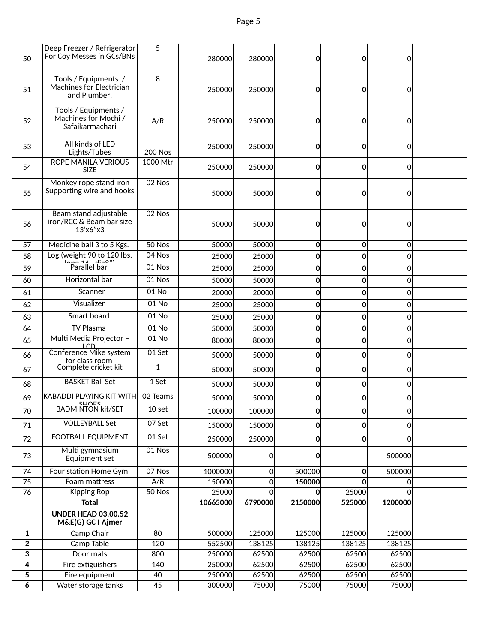| 50                  | Deep Freezer / Refrigerator<br>For Coy Messes in GCs/BNs         | 5              | 280000           | 280000         | O              | $\Omega$                | 0              |  |
|---------------------|------------------------------------------------------------------|----------------|------------------|----------------|----------------|-------------------------|----------------|--|
| 51                  | Tools / Equipments /<br>Machines for Electrician<br>and Plumber. | 8              | 250000           | 250000         | O              | $\mathbf{0}$            | 0              |  |
| 52                  | Tools / Equipments /<br>Machines for Mochi /<br>Safaikarmachari  | A/R            | 250000           | 250000         | 0              | 0                       | 0              |  |
| 53                  | All kinds of LED<br>Lights/Tubes                                 | <b>200 Nos</b> | 250000           | 250000         | 0              | $\mathbf{0}$            | $\Omega$       |  |
| 54                  | <b>ROPE MANILA VERIOUS</b><br><b>SIZE</b>                        | 1000 Mtr       | 250000           | 250000         | $\mathbf{0}$   | O                       | 0              |  |
| 55                  | Monkey rope stand iron<br>Supporting wire and hooks              | 02 Nos         | 50000            | 50000          | 0              | O                       | 0              |  |
| 56                  | Beam stand adjustable<br>iron/RCC & Beam bar size<br>13'x6"x3    | 02 Nos         | 50000            | 50000          | 0              | $\mathbf{O}$            | 0              |  |
| 57                  | Medicine ball 3 to 5 Kgs.                                        | 50 Nos         | 50000            | 50000          | 0              | $\mathbf{0}$            | 0              |  |
| 58                  | Log (weight 90 to 120 lbs,                                       | 04 Nos         | 25000            | 25000          | 0              | $\mathbf 0$             | $\overline{0}$ |  |
| 59                  | Parallel bar                                                     | 01 Nos         | 25000            | 25000          | 0              | $\mathbf 0$             | 0              |  |
| 60                  | Horizontal bar                                                   | 01 Nos         | 50000            | 50000          | 0              | $\mathbf{0}$            | $\overline{0}$ |  |
| 61                  | Scanner                                                          | 01 No          | 20000            | 20000          | 0              | $\mathbf 0$             | $\overline{0}$ |  |
| 62                  | Visualizer                                                       | 01 No          | 25000            | 25000          | 0              | $\mathbf{0}$            | $\overline{0}$ |  |
| 63                  | Smart board                                                      | 01 No          | 25000            | 25000          | 0              | $\mathbf 0$             | $\Omega$       |  |
| 64                  | <b>TV Plasma</b>                                                 | $01$ No        | 50000            | 50000          | 0              | $\overline{\mathbf{0}}$ | $\Omega$       |  |
| 65                  | Multi Media Projector -                                          | 01 No          | 80000            | 80000          | $\mathbf{O}$   | $\mathbf{0}$            | $\Omega$       |  |
| 66                  | <b>LCD</b><br>Conference Mike system                             | $01$ Set       | 50000            | 50000          | 0              | $\mathbf{0}$            | $\Omega$       |  |
| 67                  | for class room<br>Complete cricket kit                           | $\mathbf{1}$   | 50000            | 50000          | 0              | $\mathbf{0}$            | $\Omega$       |  |
|                     | <b>BASKET Ball Set</b>                                           | $1$ Set        |                  |                |                |                         |                |  |
| 68                  |                                                                  |                | 50000            | 50000          | 0              | $\mathbf{0}$            | $\Omega$       |  |
| 69                  | <b>KABADDI PLAYING KIT WITH</b><br>CHUEC                         | 02 Teams       | 50000            | 50000          | 0              | $\mathbf{0}$            | 0              |  |
| 70                  | <b>BADMINTON kit/SET</b>                                         | 10 set         | 100000           | 100000         | $\Omega$       | 0                       | 0              |  |
| 71                  | <b>VOLLEYBALL Set</b>                                            | $07$ Set       | 150000           | 150000         | $\mathbf{0}$   | $\mathbf{0}$            | $\Omega$       |  |
| 72                  | <b>FOOTBALL EQUIPMENT</b>                                        | 01 Set         | 250000           | 250000         | 0              | $\mathbf{0}$            | 0              |  |
| 73                  | Multi gymnasium<br>Equipment set                                 | 01 Nos         | 500000           | 0              | 0              |                         | 500000         |  |
| $\overline{74}$     | Four station Home Gym                                            | 07 Nos         | 1000000          | $\overline{0}$ | 500000         | 0                       | 500000         |  |
| 75                  | Foam mattress                                                    | A/R            | 150000           | 0              | 150000         | O                       | $\Omega$       |  |
| 76                  | <b>Kipping Rop</b>                                               | 50 Nos         | 25000            | $\Omega$       | $\Omega$       | 25000                   | 0              |  |
|                     | <b>Total</b>                                                     |                | 10665000         | 6790000        | 2150000        | 525000                  | 1200000        |  |
|                     | <b>UNDER HEAD 03.00.52</b><br>M&E(G) GC I Ajmer                  |                |                  |                |                |                         |                |  |
| 1                   | Camp Chair                                                       | 80             | 500000           | 125000         | 125000         | 125000                  | 125000         |  |
| $\overline{2}$      | Camp Table                                                       | 120            | 552500           | 138125         | 138125         | 138125                  | 138125         |  |
| 3<br>$\overline{4}$ | Door mats                                                        | 800            | 250000           | 62500          | 62500          | 62500                   | 62500          |  |
| 5                   | Fire extiguishers<br>Fire equipment                              | 140<br>40      | 250000<br>250000 | 62500<br>62500 | 62500<br>62500 | 62500<br>62500          | 62500<br>62500 |  |
| 6                   | Water storage tanks                                              | 45             | 300000           | 75000          | 75000          | 75000                   | 75000          |  |
|                     |                                                                  |                |                  |                |                |                         |                |  |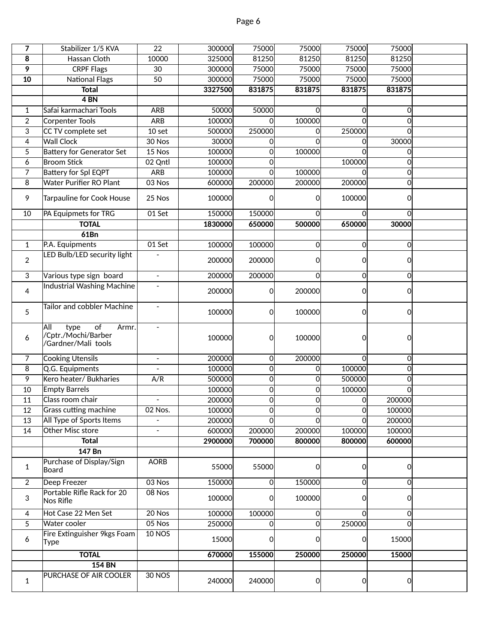| 7              | Stabilizer 1/5 KVA                                                       | 22                       | 300000  | 75000    | 75000       | 75000          | 75000          |  |
|----------------|--------------------------------------------------------------------------|--------------------------|---------|----------|-------------|----------------|----------------|--|
| 8              | Hassan Cloth                                                             | 10000                    | 325000  | 81250    | 81250       | 81250          | 81250          |  |
| 9              | <b>CRPF Flags</b>                                                        | 30                       | 300000  | 75000    | 75000       | 75000          | 75000          |  |
| 10             | <b>National Flags</b>                                                    | 50                       | 300000  | 75000    | 75000       | 75000          | 75000          |  |
|                | <b>Total</b>                                                             |                          | 3327500 | 831875   | 831875      | 831875         | 831875         |  |
|                | $4$ BN                                                                   |                          |         |          |             |                |                |  |
| 1              | Safai karmachari Tools                                                   | ARB                      | 50000   | 50000    | 0           | 0              | 0              |  |
| $\overline{2}$ | <b>Corpenter Tools</b>                                                   | ARB                      | 100000  | $\Omega$ | 100000      | $\Omega$       | $\mathbf 0$    |  |
| 3              | CC TV complete set                                                       | 10 set                   | 500000  | 250000   | $\mathbf 0$ | 250000         | $\mathbf 0$    |  |
| 4              | <b>Wall Clock</b>                                                        | 30 Nos                   | 30000   | $\Omega$ | $\Omega$    | $\Omega$       | 30000          |  |
| 5              | <b>Battery for Generator Set</b>                                         | 15 Nos                   | 100000  | $\Omega$ | 100000      | O              | $\Omega$       |  |
| 6              | <b>Broom Stick</b>                                                       | 02 Qntl                  | 100000  | 0        |             | 100000         | $\Omega$       |  |
| 7              | <b>Battery for Spl EQPT</b>                                              | ARB                      | 100000  | $\Omega$ | 100000      | $\Omega$       | $\overline{0}$ |  |
| 8              | Water Purifier RO Plant                                                  | 03 Nos                   | 600000  | 200000   | 200000      | 200000         | 0              |  |
|                |                                                                          |                          |         |          |             |                |                |  |
| 9              | Tarpauline for Cook House                                                | 25 Nos                   | 100000  | ∩        | 0           | 100000         | 0              |  |
| 10             | PA Equipmets for TRG                                                     | 01 Set                   | 150000  | 150000   | 0           | $\Omega$       | $\Omega$       |  |
|                | <b>TOTAL</b>                                                             |                          | 1830000 | 650000   | 500000      | 650000         | 30000          |  |
|                | 61Bn                                                                     |                          |         |          |             |                |                |  |
| $\mathbf{1}$   | P.A. Equipments                                                          | 01 Set                   | 100000  | 100000   | 0           | $\overline{0}$ | 0              |  |
| $\overline{2}$ | LED Bulb/LED security light                                              |                          | 200000  | 200000   | 0           | <sub>0</sub>   | 0l             |  |
| 3              | Various type sign board                                                  | $\overline{\phantom{a}}$ | 200000  | 200000   | 0           | $\overline{0}$ | 0l             |  |
| 4              | <b>Industrial Washing Machine</b>                                        | $\overline{\phantom{a}}$ | 200000  | 0        | 200000      | $\overline{0}$ | 0l             |  |
| 5              | <b>Tailor and cobbler Machine</b>                                        | $\overline{\phantom{a}}$ | 100000  | 0        | 100000      | $\Omega$       | 0l             |  |
| 6              | All<br>of<br>type<br>Armr.<br>/Cptr./Mochi/Barber<br>/Gardner/Mali tools |                          | 100000  | 0        | 100000      | 0              | 0l             |  |
| 7              | <b>Cooking Utensils</b>                                                  | $\overline{\phantom{a}}$ | 200000  | 0        | 200000      | <sub>0</sub>   | 0l             |  |
| 8              | Q.G. Equipments                                                          |                          | 100000  | 0        | 0           | 100000         | 0              |  |
| 9              | Kero heater/ Bukharies                                                   | A/R                      | 500000  | $\Omega$ | 0           | 500000         | $\mathbf{0}$   |  |
| 10             | <b>Empty Barrels</b>                                                     |                          | 100000  | $\Omega$ | 0           | 100000         | $\mathbf{0}$   |  |
| 11             | Class room chair                                                         | $\overline{\phantom{a}}$ | 200000  | $\Omega$ | 0           | 0              | 200000         |  |
| 12             | Grass cutting machine                                                    | 02 Nos.                  | 100000  | $\Omega$ | 0           | 0              | 100000         |  |
| 13             | All Type of Sports Items                                                 |                          | 200000  | O        | 0           | O              | 200000         |  |
| 14             | Other Misc store                                                         |                          | 600000  | 200000   | 200000      | 100000         | 100000         |  |
|                | <b>Total</b>                                                             |                          | 2900000 | 700000   | 800000      | 800000         | 600000         |  |
|                | 147 Bn                                                                   |                          |         |          |             |                |                |  |
| 1              | Purchase of Display/Sign<br>Board                                        | <b>AORB</b>              | 55000   | 55000    | 0           | $\overline{0}$ | 0l             |  |
| $\overline{2}$ | Deep Freezer                                                             | 03 Nos                   | 150000  | $\Omega$ | 150000      | $\overline{0}$ | 이              |  |
|                | Portable Rifle Rack for 20                                               | $08$ Nos                 |         |          |             |                |                |  |
| 3              | Nos Rifle                                                                |                          | 100000  | 0        | 100000      | $\Omega$       | 0l             |  |
| 4              | Hot Case 22 Men Set                                                      | $20$ Nos                 | 100000  | 100000   | 0           | $\Omega$       | 0              |  |
| 5              | Water cooler                                                             | 05 Nos                   | 250000  | $\Omega$ | $\mathbf 0$ | 250000         | 0l             |  |
| 6              | Fire Extinguisher 9kgs Foam<br>Type                                      | <b>10 NOS</b>            | 15000   | ი        | 0           | 0l             | 15000          |  |
|                | <b>TOTAL</b>                                                             |                          | 670000  | 155000   | 250000      | 250000         | 15000          |  |
|                | <b>154 BN</b>                                                            |                          |         |          |             |                |                |  |
| $\mathbf{1}$   | PURCHASE OF AIR COOLER                                                   | <b>30 NOS</b>            | 240000  | 240000   | 0           | <sup>o</sup>   | 0l             |  |
|                |                                                                          |                          |         |          |             |                |                |  |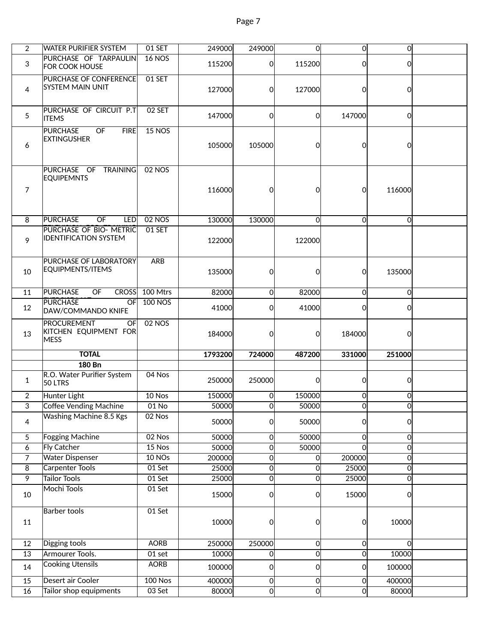| $\overline{2}$        |                                                                  |                     |                 |                |                                  |                                |                 |  |
|-----------------------|------------------------------------------------------------------|---------------------|-----------------|----------------|----------------------------------|--------------------------------|-----------------|--|
|                       | <b>WATER PURIFIER SYSTEM</b>                                     | 01 SET              | 249000          | 249000         | 0                                | 0                              | $\overline{0}$  |  |
| 3                     | PURCHASE OF TARPAULIN<br><b>FOR COOK HOUSE</b>                   | <b>16 NOS</b>       | 115200          | 0l             | 115200                           | 0l                             | οl              |  |
| 4                     | PURCHASE OF CONFERENCE<br><b>SYSTEM MAIN UNIT</b>                | 01 SET              | 127000          | 0              | <b>127000</b>                    | 0l                             | οl              |  |
| 5                     | PURCHASE OF CIRCUIT P.T<br><b>ITEMS</b>                          | 02 SET              | 147000          | $\Omega$       | 0l                               | 147000                         | <sub>0</sub>    |  |
| 6                     | <b>PURCHASE</b><br>OF<br><b>FIRE</b><br><b>EXTINGUSHER</b>       | $15$ NOS            | 105000          | 105000         | 0                                | 0l                             | Οl              |  |
| $\overline{7}$        | PURCHASE OF TRAINING<br><b>EQUIPEMNTS</b>                        | 02 NOS              | 116000          | 0              | 0l                               | 0                              | 116000          |  |
| 8                     | <b>PURCHASE</b><br>OF<br><b>LED</b>                              | <b>02 NOS</b>       | 130000          | 130000         | $\overline{0}$                   | 0l                             | 0l              |  |
| 9                     | PURCHASE OF BIO- METRIC<br><b>IDENTIFICATION SYSTEM</b>          | 01 SET              | 122000          |                | 122000                           |                                |                 |  |
| 10                    | PURCHASE OF LABORATORY<br>EQUIPMENTS/ITEMS                       | ARB                 | 135000          | $\Omega$       | 0                                | 0l                             | 135000          |  |
| 11                    | <b>PURCHASE</b><br>OF<br><b>CROSS</b>                            | 100 Mtrs            | 82000           | $\Omega$       | 82000                            | <sub>0</sub>                   | <sup>o</sup>    |  |
| 12                    | <b>PURCHASE</b><br>OF<br>DAW/COMMANDO KNIFE                      | <b>100 NOS</b>      | 41000           | Οl             | 41000                            | 0l                             | Οl              |  |
| 13                    | <b>PROCUREMENT</b><br>OF<br>KITCHEN EQUIPMENT FOR<br><b>MESS</b> | <b>02 NOS</b>       | 184000          | 0              | 0                                | 184000                         | Οl              |  |
|                       |                                                                  |                     |                 |                |                                  |                                |                 |  |
|                       | <b>TOTAL</b>                                                     |                     | 1793200         | 724000         | 487200                           | 331000                         | 251000          |  |
|                       | <b>180 Bn</b>                                                    |                     |                 |                |                                  |                                |                 |  |
| $\mathbf{1}$          | R.O. Water Purifier System<br>50 LTRS                            | 04 Nos              | 250000          | 250000         | 0                                | 0l                             | 0l              |  |
| $\overline{2}$        | Hunter Light                                                     | 10 Nos              | 150000          | 0              | 150000                           | 0                              | 이               |  |
| $\overline{3}$        | Coffee Vending Machine                                           | 01 No               | 50000           | 0              | 50000                            | 이                              | 이               |  |
| 4                     | <b>Washing Machine 8.5 Kgs</b>                                   | 02 Nos              | 50000           | 0              | 50000                            | 0                              | 01              |  |
| 5                     | <b>Fogging Machine</b>                                           | 02 Nos              | 50000           | $\Omega$       | 50000                            | <sub>0</sub>                   | 0               |  |
| 6                     | <b>Fly Catcher</b>                                               | 15 Nos              | 50000           | 0              | 50000                            | $\Omega$                       | 이               |  |
| 7                     | <b>Water Dispenser</b>                                           | 10 NOs              | 200000          | 0              | <sub>0</sub>                     | 200000                         | 이               |  |
| 8                     | <b>Carpenter Tools</b>                                           | 01 Set              | 25000           | <sub>0</sub>   | $\overline{0}$                   | 25000                          | 이               |  |
| 9                     | Tailor Tools                                                     | 01 Set              | 25000           | <sub>0</sub>   | $\overline{0}$                   | 25000                          | 이               |  |
| 10                    | <b>Mochi Tools</b>                                               | 01 Set              | 15000           | 0              | 0                                | 15000                          | 0l              |  |
| 11                    | Barber tools                                                     | 01 Set              | 10000           | 0              | 0                                | 이                              | 10000           |  |
| 12                    | Digging tools                                                    | <b>AORB</b>         | 250000          | 250000         | 0                                | 0                              | 0l              |  |
| 13                    | Armourer Tools.                                                  | $01$ set            | 10000           | $\Omega$       | $\overline{O}$                   | 0                              | 10000           |  |
| 14                    | <b>Cooking Utensils</b>                                          | <b>AORB</b>         | 100000          | 0              | 0                                | 0                              | 100000          |  |
| 15<br>$\overline{16}$ | Desert air Cooler<br>Tailor shop equipments                      | $100$ Nos<br>03 Set | 400000<br>80000 | $\Omega$<br>Οl | $\overline{0}$<br>$\overline{0}$ | <sub>0</sub><br>$\overline{0}$ | 400000<br>80000 |  |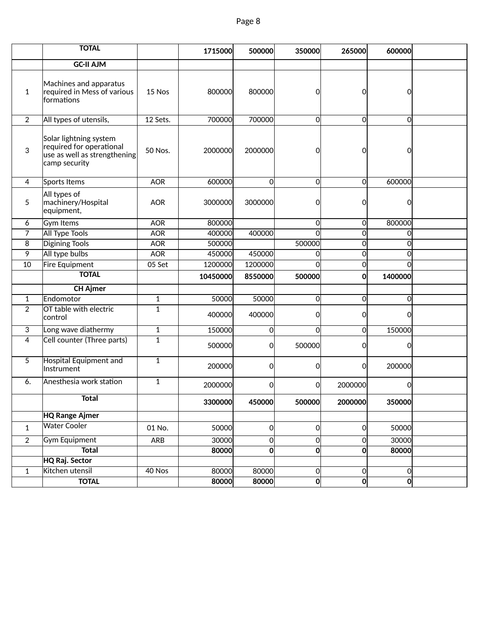|                | <b>TOTAL</b>                                                                                        |                | 1715000  | 500000      | 350000         | 265000         | 600000         |  |
|----------------|-----------------------------------------------------------------------------------------------------|----------------|----------|-------------|----------------|----------------|----------------|--|
|                | <b>GC-II AJM</b>                                                                                    |                |          |             |                |                |                |  |
| $\mathbf{1}$   | Machines and apparatus<br>required in Mess of various<br>formations                                 | 15 Nos         | 800000   | 800000      | $\Omega$       | $\Omega$       | 0l             |  |
| $\overline{2}$ | All types of utensils,                                                                              | 12 Sets.       | 700000   | 700000      | $\Omega$       | 0l             | οl             |  |
| 3              | Solar lightning system<br>required for operational<br>use as well as strengthening<br>camp security | 50 Nos.        | 2000000  | 2000000     | 0              | $\Omega$       | Οl             |  |
| 4              | Sports Items                                                                                        | <b>AOR</b>     | 600000   | $\mathbf 0$ | $\overline{O}$ | 0l             | 600000         |  |
| 5              | All types of<br>machinery/Hospital<br>equipment,                                                    | <b>AOR</b>     | 3000000  | 3000000     | <sub>0</sub>   | $\Omega$       | 0l             |  |
| 6              | <b>Gym Items</b>                                                                                    | <b>AOR</b>     | 800000   |             | $\Omega$       | 0l             | 800000         |  |
| 7              | <b>All Type Tools</b>                                                                               | <b>AOR</b>     | 400000   | 400000      | <sup>0</sup>   | 0              | $\Omega$       |  |
| 8              | <b>Digining Tools</b>                                                                               | <b>AOR</b>     | 500000   |             | 500000         | 0              | $\Omega$       |  |
| 9              | All type bulbs                                                                                      | <b>AOR</b>     | 450000   | 450000      | $\overline{0}$ | <sub>0</sub>   | $\Omega$       |  |
| 10             | <b>Fire Equipment</b>                                                                               | 05 Set         | 1200000  | 1200000     | $\Omega$       | $\overline{0}$ | $\Omega$       |  |
|                | <b>TOTAL</b>                                                                                        |                | 10450000 | 8550000     | 500000         | Οl             | 1400000        |  |
|                | <b>CH Ajmer</b>                                                                                     |                |          |             |                |                |                |  |
| $\mathbf{1}$   | Endomotor                                                                                           | 1              | 50000    | 50000       | $\Omega$       | 0l             | 0l             |  |
| $\overline{2}$ | OT table with electric<br>control                                                                   | $\overline{1}$ | 400000   | 400000      | <sub>0</sub>   | 0l             | 0l             |  |
| 3              | Long wave diathermy                                                                                 | $\mathbf{1}$   | 150000   | $\mathbf 0$ | <sub>0</sub>   | 0l             | 150000         |  |
| 4              | Cell counter (Three parts)                                                                          | $\mathbf{1}$   | 500000   | 0           | 500000         | 0l             | Οl             |  |
| 5              | Hospital Equipment and<br>Instrument                                                                | $\mathbf{1}$   | 200000   | 0           | <sub>0</sub>   | 0l             | 200000         |  |
| 6.             | Anesthesia work station                                                                             | $\mathbf{1}$   | 2000000  | 0           | <sub>0</sub>   | 2000000        | 0l             |  |
|                | <b>Total</b>                                                                                        |                | 3300000  | 450000      | 500000         | 2000000        | 350000         |  |
|                | <b>HQ Range Ajmer</b>                                                                               |                |          |             |                |                |                |  |
| $\mathbf{1}$   | Water Cooler                                                                                        | 01 No.         | 50000    | $\mathbf 0$ | 0              | 0              | 50000          |  |
| $\sqrt{2}$     | <b>Gym Equipment</b>                                                                                | ARB            | 30000    | $\mathbf 0$ | $\overline{O}$ | $\overline{0}$ | 30000          |  |
|                | <b>Total</b>                                                                                        |                | 80000    | $\bf{0}$    | $\overline{0}$ | 0              | 80000          |  |
|                | <b>HQ Raj. Sector</b>                                                                               |                |          |             |                |                |                |  |
| $\mathbf{1}$   | Kitchen utensil                                                                                     | 40 Nos         | 80000    | 80000       | $\overline{0}$ | 0              | 0              |  |
|                | <b>TOTAL</b>                                                                                        |                | 80000    | 80000       | $\mathbf{0}$   | 이              | $\overline{0}$ |  |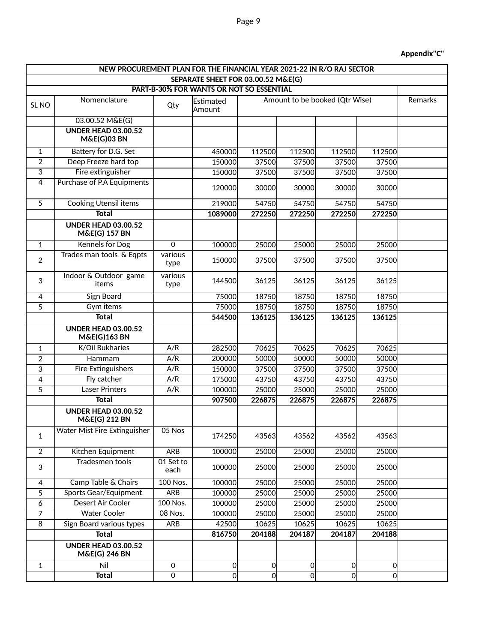#### **Appendix"C"**

|                                                                                | NEW PROCUREMENT PLAN FOR THE FINANCIAL YEAR 2021-22 IN R/O RAJ SECTOR |                   |                             |        |        |                                |                |         |
|--------------------------------------------------------------------------------|-----------------------------------------------------------------------|-------------------|-----------------------------|--------|--------|--------------------------------|----------------|---------|
| SEPARATE SHEET FOR 03.00.52 M&E(G)<br>PART-B-30% FOR WANTS OR NOT SO ESSENTIAL |                                                                       |                   |                             |        |        |                                |                |         |
|                                                                                |                                                                       |                   |                             |        |        |                                |                |         |
| SL <sub>NO</sub>                                                               | Nomenclature                                                          | Qty               | <b>lEstimated</b><br>Amount |        |        | Amount to be booked (Qtr Wise) |                | Remarks |
|                                                                                | 03.00.52 M&E(G)                                                       |                   |                             |        |        |                                |                |         |
|                                                                                | <b>UNDER HEAD 03.00.52</b><br><b>M&amp;E(G)03 BN</b>                  |                   |                             |        |        |                                |                |         |
| $\mathbf{1}$                                                                   | Battery for D.G. Set                                                  |                   | 450000                      | 112500 | 112500 | 112500                         | 112500         |         |
| $\overline{2}$                                                                 | Deep Freeze hard top                                                  |                   | 150000                      | 37500  | 37500  | 37500                          | 37500          |         |
| $\overline{3}$                                                                 | Fire extinguisher                                                     |                   | 150000                      | 37500  | 37500  | 37500                          | 37500          |         |
| 4                                                                              | Purchase of P.A Equipments                                            |                   | 120000                      | 30000  | 30000  | 30000                          | 30000          |         |
| 5                                                                              | <b>Cooking Utensil items</b>                                          |                   | 219000                      | 54750  | 54750  | 54750                          | 54750          |         |
|                                                                                | <b>Total</b>                                                          |                   | 1089000                     | 272250 | 272250 | 272250                         | 272250         |         |
|                                                                                | <b>UNDER HEAD 03.00.52</b><br><b>M&amp;E(G) 157 BN</b>                |                   |                             |        |        |                                |                |         |
| $\mathbf{1}$                                                                   | <b>Kennels for Dog</b>                                                | $\mathbf 0$       | 100000                      | 25000  | 25000  | 25000                          | 25000          |         |
| 2                                                                              | Trades man tools & Eqpts                                              | various<br>type   | 150000l                     | 37500  | 37500  | 37500                          | 37500          |         |
| 3                                                                              | Indoor & Outdoor game<br>items                                        | various<br>type   | 144500                      | 36125  | 36125  | 36125                          | 36125          |         |
| 4                                                                              | <b>Sign Board</b>                                                     |                   | 75000                       | 18750  | 18750  | 18750                          | 18750          |         |
| 5                                                                              | Gym items                                                             |                   | 75000                       | 18750  | 18750  | 18750                          | 18750          |         |
|                                                                                | <b>Total</b>                                                          |                   | 544500                      | 136125 | 136125 | 136125                         | 136125         |         |
|                                                                                | <b>UNDER HEAD 03.00.52</b><br><b>M&amp;E(G)163 BN</b>                 |                   |                             |        |        |                                |                |         |
| 1                                                                              | K/Oil Bukharies                                                       | A/R               | 282500                      | 70625  | 70625  | 70625                          | 70625          |         |
| $\overline{2}$                                                                 | Hammam                                                                | A/R               | 200000                      | 50000  | 50000  | 50000                          | 50000          |         |
| 3                                                                              | <b>Fire Extinguishers</b>                                             | A/R               | 150000                      | 37500  | 37500  | 37500                          | 37500          |         |
| 4                                                                              | Fly catcher                                                           | A/R               | 175000                      | 43750  | 43750  | 43750                          | 43750          |         |
| 5                                                                              | <b>Laser Printers</b>                                                 | A/R               | 100000                      | 25000  | 25000  | 25000                          | 25000          |         |
|                                                                                | <b>Total</b>                                                          |                   | 907500                      | 226875 | 226875 | 226875                         | 226875         |         |
|                                                                                | <b>UNDER HEAD 03.00.52</b><br><b>M&amp;E(G) 212 BN</b>                |                   |                             |        |        |                                |                |         |
| 1                                                                              | Water Mist Fire Extinguisher                                          | 05 Nos            | 174250                      | 43563  | 43562  | 43562                          | 43563          |         |
| $\overline{2}$                                                                 | Kitchen Equipment                                                     | <b>ARB</b>        | 100000                      | 25000  | 25000  | 25000                          | 25000          |         |
| 3                                                                              | <b>Tradesmen tools</b>                                                | 01 Set to<br>each | 100000                      | 25000  | 25000  | 25000                          | 25000          |         |
| 4                                                                              | Camp Table & Chairs                                                   | 100 Nos.          | 100000                      | 25000  | 25000  | 25000                          | 25000          |         |
| 5                                                                              | <b>Sports Gear/Equipment</b>                                          | <b>ARB</b>        | 100000                      | 25000  | 25000  | 25000                          | 25000          |         |
| 6                                                                              | Desert Air Cooler                                                     | 100 Nos.          | 100000                      | 25000  | 25000  | 25000                          | 25000          |         |
| $\overline{7}$                                                                 | <b>Water Cooler</b>                                                   | 08 Nos.           | 100000                      | 25000  | 25000  | 25000                          | 25000          |         |
| 8                                                                              | Sign Board various types                                              | <b>ARB</b>        | 42500                       | 10625  | 10625  | 10625                          | 10625          |         |
|                                                                                | <b>Total</b>                                                          |                   | 816750                      | 204188 | 204187 | 204187                         | 204188         |         |
|                                                                                | <b>UNDER HEAD 03.00.52</b><br><b>M&amp;E(G) 246 BN</b>                |                   |                             |        |        |                                |                |         |
| $\mathbf{1}$                                                                   | Nil                                                                   | $\pmb{0}$         | 이                           | 이      | 0      | 0                              | 0              |         |
|                                                                                | <b>Total</b>                                                          | $\mathbf 0$       | $\overline{0}$              | 0      | 0      | $\overline{0}$                 | $\overline{0}$ |         |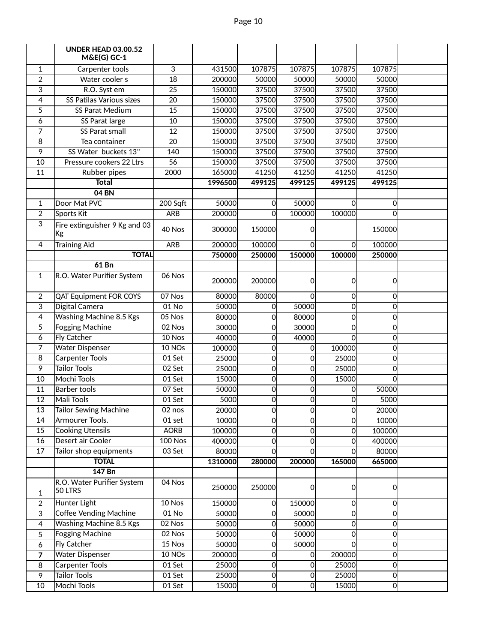|                 | <b>UNDER HEAD 03.00.52</b><br>$M&E(G)$ GC-1 |                 |         |                |          |                |                |  |
|-----------------|---------------------------------------------|-----------------|---------|----------------|----------|----------------|----------------|--|
| 1               | Carpenter tools                             | 3               | 431500  | 107875         | 107875   | 107875         | 107875         |  |
| $\overline{2}$  | Water cooler s                              | $\overline{18}$ | 200000  | 50000          | 50000    | 50000          | 50000          |  |
| 3               | R.O. Syst em                                | 25              | 150000  | 37500          | 37500    | 37500          | 37500          |  |
| 4               | SS Patilas Various sizes                    | 20              | 150000  | 37500          | 37500    | 37500          | 37500          |  |
| 5               | SS Parat Medium                             | 15              | 150000  | 37500          | 37500    | 37500          | 37500          |  |
| 6               | SS Parat large                              | 10              | 150000  | 37500          | 37500    | 37500          | 37500          |  |
| 7               | <b>SS Parat small</b>                       | 12              | 150000  | 37500          | 37500    | 37500          | 37500          |  |
| 8               | Tea container                               | $\overline{20}$ | 150000  | 37500          | 37500    | 37500          | 37500          |  |
| 9               | SS Water buckets 13"                        | 140             | 150000  | 37500          | 37500    | 37500          | 37500          |  |
| 10              | Pressure cookers 22 Ltrs                    | $\overline{56}$ | 150000  | 37500          | 37500    | 37500          | 37500          |  |
| $\overline{11}$ | Rubber pipes                                | 2000            | 165000  | 41250          | 41250    | 41250          | 41250          |  |
|                 | <b>Total</b>                                |                 | 1996500 | 499125         | 499125   | 499125         | 499125         |  |
|                 | 04 BN                                       |                 |         |                |          |                |                |  |
| 1               | Door Mat PVC                                | 200 Sqft        | 50000   | $\Omega$       | 50000    | 0              | $\Omega$       |  |
| 2               | Sports Kit                                  | ARB             | 200000  | $\Omega$       | 100000   | 100000         | $\Omega$       |  |
| 3               | Fire extinguisher 9 Kg and 03<br> Kg        | 40 Nos          | 300000  | 150000         | 0        |                | 150000         |  |
| 4               | <b>Training Aid</b>                         | ARB             | 200000  | 100000         | 0        | $\Omega$       | 100000         |  |
|                 | <b>TOTAL</b>                                |                 | 750000  | 250000         | 150000   | 100000         | 250000         |  |
|                 | $61$ Bn                                     |                 |         |                |          |                |                |  |
| 1               | R.O. Water Purifier System                  | 06 Nos          | 200000  | 200000         | 0        | $\overline{0}$ | $\Omega$       |  |
| 2               | <b>QAT Equipment FOR COYS</b>               | 07 Nos          | 80000   | 80000          | $\Omega$ | 0              | $\Omega$       |  |
| 3               | Digital Camera                              | $01$ No         | 50000   | $\Omega$       | 50000    | $\mathbf 0$    | $\Omega$       |  |
| 4               | Washing Machine 8.5 Kgs                     | $05$ Nos        | 80000   | 0              | 80000    | $\mathbf 0$    | 0              |  |
| 5               | <b>Fogging Machine</b>                      | 02 Nos          | 30000   | 0              | 30000    | $\overline{0}$ | 0              |  |
| 6               | <b>Fly Catcher</b>                          | 10 Nos          | 40000   | 0              | 40000    | 0              | $\Omega$       |  |
| 7               | <b>Water Dispenser</b>                      | 10 NOs          | 100000  | 0              | 0        | 100000         | $\Omega$       |  |
| $\overline{8}$  | <b>Carpenter Tools</b>                      | 01 Set          | 25000   | 0              | 0        | 25000          | $\Omega$       |  |
| 9               | Tailor Tools                                | 02 Set          | 25000   | $\Omega$       | 0        | 25000          | $\Omega$       |  |
| 10              | Mochi Tools                                 | $01$ Set        | 15000   | $\Omega$       | 0        | 15000          | $\Omega$       |  |
| $\overline{11}$ | <b>Barber tools</b>                         | $07$ Set        | 50000   | $\Omega$       | 0        | $\overline{0}$ | 50000          |  |
| $\overline{12}$ | Mali Tools                                  | $01$ Set        | 5000    | 0              | 0        | $\overline{0}$ | 5000           |  |
| $\overline{13}$ | Tailor Sewing Machine                       | 02 nos          | 20000   | o              | 이        | $\overline{0}$ | 20000          |  |
| 14              | Armourer Tools.                             | 01 set          | 10000   | 0              | 0        | 0              | 10000          |  |
| 15              | <b>Cooking Utensils</b>                     | <b>AORB</b>     | 100000  | 0              | 0        | 0              | 100000         |  |
| 16              | Desert air Cooler                           | <b>100 Nos</b>  | 400000  | 0              | 0        | $\overline{0}$ | 400000         |  |
| 17              | Tailor shop equipments                      | 03 Set          | 80000   | $\Omega$       | 0        | $\Omega$       | 80000          |  |
|                 | <b>TOTAL</b>                                |                 | 1310000 | 280000         | 200000   | 165000         | 665000         |  |
|                 | 147 Bn                                      |                 |         |                |          |                |                |  |
| 1               | R.O. Water Purifier System<br>50 LTRS       | 04 Nos          | 250000  | 250000         | 0        | 0              | $\Omega$       |  |
| $\overline{2}$  | Hunter Light                                | 10 Nos          | 150000  | $\overline{0}$ | 150000   | $\mathsf{O}$   | $\Omega$       |  |
| 3               | Coffee Vending Machine                      | $01$ No         | 50000   | 0              | 50000    | $\mathbf 0$    | $\overline{0}$ |  |
| 4               | <b>Washing Machine 8.5 Kgs</b>              | 02 Nos          | 50000   | 0              | 50000    | 0              | $\Omega$       |  |
| 5               | <b>Fogging Machine</b>                      | 02 Nos          | 50000   | 0              | 50000    | $\overline{0}$ | $\Omega$       |  |
| 6               | <b>Fly Catcher</b>                          | 15 Nos          | 50000   | $\Omega$       | 50000    | $\Omega$       | $\Omega$       |  |
| 7               | <b>Water Dispenser</b>                      | 10 NOs          | 200000  | 0              | 0        | 200000         | $\Omega$       |  |
| 8               | Carpenter Tools                             | 01 Set          | 25000   | $\overline{0}$ | 0        | 25000          | $\overline{0}$ |  |
| 9               | Tailor Tools                                | 01 Set          | 25000   | 0              | 0        | 25000          | $\overline{0}$ |  |
| 10              | Mochi Tools                                 | 01 Set          | 15000   | $\overline{0}$ | 0        | 15000          | $\overline{0}$ |  |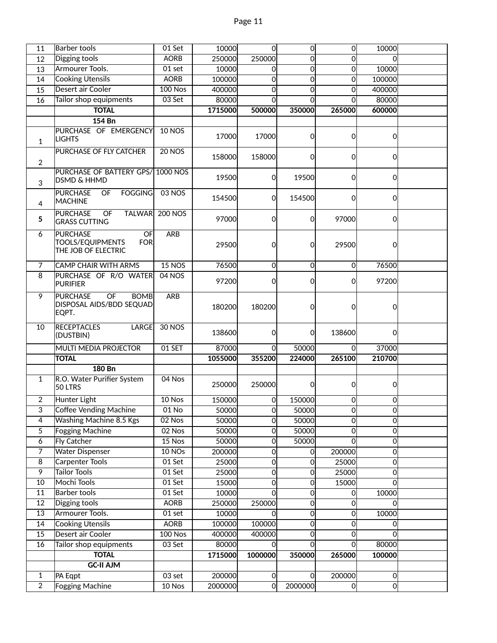| 11              | Barber tools                                      | 01 Set         | 10000         | $\overline{0}$ | $\overline{0}$ | <sub>0</sub>   | 10000          |  |
|-----------------|---------------------------------------------------|----------------|---------------|----------------|----------------|----------------|----------------|--|
| 12              | Digging tools                                     | <b>AORB</b>    | 250000        | 250000         | $\Omega$       | <sub>0</sub>   | $\Omega$       |  |
| 13              | Armourer Tools.                                   | 01 set         | 10000         | O              | $\Omega$       | $\overline{0}$ | 10000          |  |
| 14              | <b>Cooking Utensils</b>                           | <b>AORB</b>    | 100000        | 0              | 0              | $\overline{0}$ | 100000         |  |
| 15              | Desert air Cooler                                 | <b>100 Nos</b> | 400000        | $\overline{0}$ | $\Omega$       | $\overline{0}$ | 400000         |  |
| 16              | Tailor shop equipments                            | $03$ Set       | 80000         | <sub>0</sub>   | $\mathbf 0$    | οl             | 80000          |  |
|                 | <b>TOTAL</b>                                      |                | 1715000       | 500000         | 350000         | 265000         | 600000         |  |
|                 | 154 Bn                                            |                |               |                |                |                |                |  |
|                 | PURCHASE OF EMERGENCY                             | <b>10 NOS</b>  |               |                |                |                |                |  |
| 1               | <b>LIGHTS</b>                                     |                | 17000         | 17000          | $\Omega$       | $\overline{0}$ | $\overline{0}$ |  |
|                 | <b>PURCHASE OF FLY CATCHER</b>                    | $20$ NOS       |               |                |                |                |                |  |
| $\overline{2}$  |                                                   |                | 158000        | 158000         | $\Omega$       | $\overline{0}$ | $\overline{0}$ |  |
|                 | PURCHASE OF BATTERY GPS/ 1000 NOS                 |                |               |                |                |                |                |  |
| 3               | <b>DSMD &amp; HHMD</b>                            |                | 19500         | 0              | 19500          | $\overline{0}$ | $\Omega$       |  |
|                 | <b>PURCHASE</b><br>OF<br><b>FOGGING</b>           | 03 NOS         |               |                |                |                |                |  |
| $\overline{4}$  | <b>MACHINE</b>                                    |                | 154500        | <sub>0</sub>   | 154500         | $\Omega$       | $\Omega$       |  |
|                 | <b>PURCHASE</b><br>OF<br><b>TALWAR</b>            | <b>200 NOS</b> |               |                |                |                |                |  |
| 5               | <b>GRASS CUTTING</b>                              |                | 97000         | $\mathsf{O}$   | $\Omega$       | 97000          | $\overline{0}$ |  |
| 6               | <b>PURCHASE</b><br>OF                             | <b>ARB</b>     |               |                |                |                |                |  |
|                 | <b>TOOLS/EQUIPMENTS</b><br><b>FOR</b>             |                | 29500         | 0l             | 0              | 29500          | 0              |  |
|                 | THE JOB OF ELECTRIC                               |                |               |                |                |                |                |  |
| $\overline{7}$  | <b>CAMP CHAIR WITH ARMS</b>                       | <b>15 NOS</b>  | 76500         | $\overline{0}$ | $\Omega$       | $\overline{0}$ | 76500          |  |
| $\overline{8}$  | PURCHASE OF R/O WATER                             | 04 NOS         |               |                |                |                |                |  |
|                 | <b>PURIFIER</b>                                   |                | 97200         | 0              | 0              | 0              | 97200          |  |
| 9               | <b>PURCHASE</b><br>$\overline{OF}$<br><b>BOMB</b> | <b>ARB</b>     |               |                |                |                |                |  |
|                 | DISPOSAL AIDS/BDD SEQUAD                          |                | 180200        | 180200         | $\Omega$       | 0              | 0              |  |
|                 | EQPT.                                             |                |               |                |                |                |                |  |
| 10              | <b>RECEPTACLES</b><br><b>LARGE</b>                | <b>30 NOS</b>  |               |                |                |                |                |  |
|                 | (DUSTBIN)                                         |                | 138600        | 0l             | 0              | 138600         | 0              |  |
|                 | <b>MULTI MEDIA PROJECTOR</b>                      | 01 SET         | 87000         | 0l             | 50000          | <sub>0</sub>   | 37000          |  |
|                 | <b>TOTAL</b>                                      |                | 1055000       | 355200         | 224000         | 265100         | 210700         |  |
|                 | 180 Bn                                            |                |               |                |                |                |                |  |
| 1               | R.O. Water Purifier System                        | 04 Nos         |               |                |                |                |                |  |
|                 | 50 LTRS                                           |                | <b>250000</b> | <b>250000</b>  | $\Omega$       | $\overline{0}$ | 0              |  |
| $\overline{2}$  | Hunter Light                                      | 10 Nos         | 150000        | <sub>0</sub>   | 150000         | $\overline{0}$ | 0              |  |
| 3               | Coffee Vending Machine                            | 01 No          | 50000         | 0              | 50000          | 0              | $\overline{0}$ |  |
| 4               | Washing Machine 8.5 Kgs                           | 02 Nos         | 50000         | 0              | 50000          | $\overline{0}$ | $\mathbf 0$    |  |
| 5               | <b>Fogging Machine</b>                            | 02 Nos         | 50000         | 0              | 50000          | $\circ$        | 0              |  |
| 6               | <b>Fly Catcher</b>                                | 15 Nos         | 50000         | 0              | 50000          | $\Omega$       | 0              |  |
| 7               | <b>Water Dispenser</b>                            | 10 NOs         | 200000        | 0              | 0              | 200000         | 0              |  |
| $\overline{8}$  | <b>Carpenter Tools</b>                            | 01 Set         | 25000         | 0              | 0              | 25000          | $\overline{0}$ |  |
| $\overline{9}$  | <b>Tailor Tools</b>                               | 01 Set         | 25000         | $\overline{0}$ | $\overline{0}$ | 25000          | $\overline{0}$ |  |
| 10              | Mochi Tools                                       | $01$ Set       | 15000         | $\overline{0}$ | $\Omega$       | 15000          | 0              |  |
| 11              | <b>Barber tools</b>                               | $01$ Set       | 10000         | 0              | 0              | 0l             | 10000          |  |
| 12              | Digging tools                                     | <b>AORB</b>    | 250000        | 250000         | 0              | 이              | 0              |  |
| $\overline{13}$ | Armourer Tools.                                   | 01 set         | 10000         | $\overline{0}$ | $\overline{0}$ | $\overline{0}$ | 10000          |  |
| 14              | <b>Cooking Utensils</b>                           | <b>AORB</b>    | 100000        | 100000         | 0              | $\overline{0}$ | 0              |  |
| 15              | Desert air Cooler                                 | $100$ Nos      | 400000        | 400000         | 0              | 0              | 0              |  |
| 16              | Tailor shop equipments                            | 03 Set         | 80000         | Ωl             | $\Omega$       | 0              | 80000          |  |
|                 | <b>TOTAL</b>                                      |                | 1715000       | 1000000        | 350000         | 265000         | 100000         |  |
|                 | <b>GC-II AJM</b>                                  |                |               |                |                |                |                |  |
| $\mathbf 1$     | PA Eqpt                                           | 03 set         | 200000        | 0              | $\Omega$       | 200000         | 0              |  |
| $\overline{2}$  | Fogging Machine                                   | 10 Nos         | 2000000       | 이              | 2000000        | 0              | 0              |  |
|                 |                                                   |                |               |                |                |                |                |  |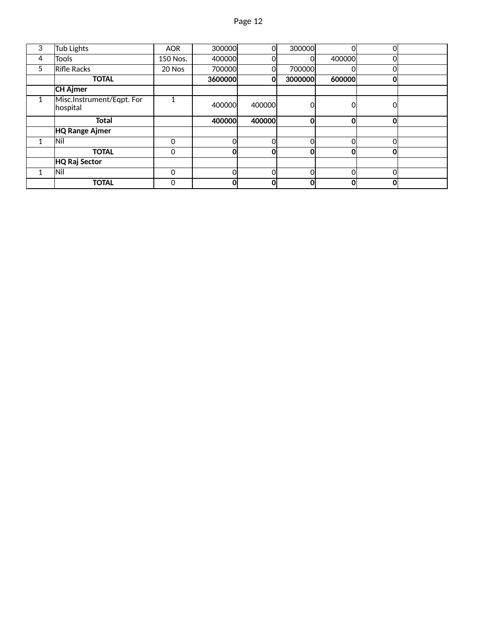| 3 | Tub Lights                            | <b>AOR</b> | 300000  | 0l     | 300000  | Ol             | 0l |  |
|---|---------------------------------------|------------|---------|--------|---------|----------------|----|--|
| 4 | <b>Tools</b>                          | 150 Nos.   | 400000  |        |         | 400000         |    |  |
| 5 | Rifle Racks                           | 20 Nos     | 700000  | ΩI     | 700000  | 0              | ΩI |  |
|   | <b>TOTAL</b>                          |            | 3600000 | Οl     | 3000000 | 600000         | 0l |  |
|   | <b>CH Ajmer</b>                       |            |         |        |         |                |    |  |
| 1 | Misc.Instrument/Eqpt. For<br>hospital | 4          | 400000  | 400000 |         | 0              |    |  |
|   |                                       |            |         |        |         |                |    |  |
|   | <b>Total</b>                          |            | 400000  | 400000 | 0       | 0              | 0l |  |
|   | <b>HQ Range Ajmer</b>                 |            |         |        |         |                |    |  |
| 1 | Nil                                   | $\Omega$   | ΩI      | Ωl     | ი       | $\overline{O}$ | റി |  |
|   | <b>TOTAL</b>                          | 0          | ΩI      | OI     | Ω       | 0              | ΩI |  |
|   | HQ Raj Sector                         |            |         |        |         |                |    |  |
| 1 | lNil                                  | 0          | Ωl      | Ωl     |         | 0              | ΩI |  |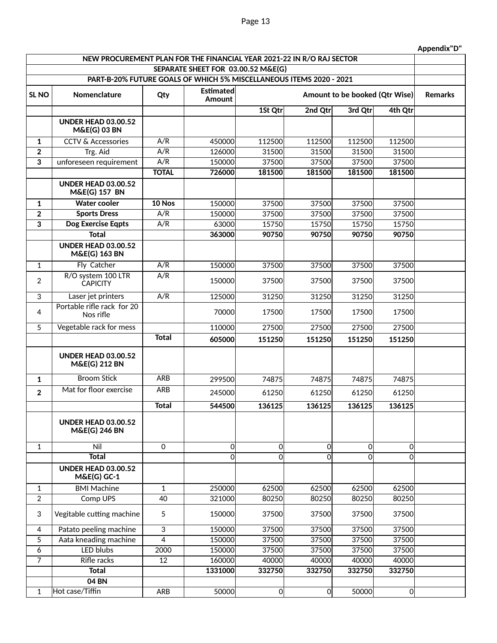| Appendix"D" |  |
|-------------|--|
|-------------|--|

|                                                                     | NEW PROCUREMENT PLAN FOR THE FINANCIAL YEAR 2021-22 IN R/O RAJ SECTOR |                |                            |          |                                |          |                |  |  |
|---------------------------------------------------------------------|-----------------------------------------------------------------------|----------------|----------------------------|----------|--------------------------------|----------|----------------|--|--|
| SEPARATE SHEET FOR 03.00.52 M&E(G)                                  |                                                                       |                |                            |          |                                |          |                |  |  |
| PART-B-20% FUTURE GOALS OF WHICH 5% MISCELLANEOUS ITEMS 2020 - 2021 |                                                                       |                |                            |          |                                |          |                |  |  |
| SL <sub>NO</sub>                                                    | Nomenclature                                                          | Qty            | <b>Estimated</b><br>Amount |          | Amount to be booked (Qtr Wise) |          |                |  |  |
|                                                                     |                                                                       |                |                            | 1St Qtr  | 2nd Qtr                        | 3rd Qtr  | 4th Qtr        |  |  |
|                                                                     | <b>UNDER HEAD 03.00.52</b><br><b>M&amp;E(G) 03 BN</b>                 |                |                            |          |                                |          |                |  |  |
| 1                                                                   | <b>CCTV &amp; Accessories</b>                                         | A/R            | 450000                     | 112500   | 112500                         | 112500   | 112500         |  |  |
| $\overline{2}$                                                      | Trg. Aid                                                              | A/R            | 126000                     | 31500    | 31500                          | 31500    | 31500          |  |  |
| $\overline{\mathbf{3}}$                                             | unforeseen requirement                                                | A/R            | 150000                     | 37500    | 37500                          | 37500    | 37500          |  |  |
|                                                                     |                                                                       | <b>TOTAL</b>   | 726000                     | 181500   | 181500                         | 181500   | 181500         |  |  |
|                                                                     | <b>UNDER HEAD 03.00.52</b><br>M&E(G) 157 BN                           |                |                            |          |                                |          |                |  |  |
| 1                                                                   | <b>Water cooler</b>                                                   | $10$ Nos       | 150000                     | 37500    | 37500                          | 37500    | 37500          |  |  |
| $\mathbf 2$                                                         | <b>Sports Dress</b>                                                   | A/R            | 150000                     | 37500    | 37500                          | 37500    | 37500          |  |  |
| $\overline{\mathbf{3}}$                                             | <b>Dog Exercise Eqpts</b>                                             | A/R            | 63000                      | 15750    | 15750                          | 15750    | 15750          |  |  |
|                                                                     | <b>Total</b>                                                          |                | 363000                     | 90750    | 90750                          | 90750    | 90750          |  |  |
|                                                                     | <b>UNDER HEAD 03.00.52</b><br><b>M&amp;E(G) 163 BN</b>                |                |                            |          |                                |          |                |  |  |
| $\mathbf{1}$                                                        | Fly Catcher                                                           | A/R            | 150000                     | 37500    | 37500                          | 37500    | 37500          |  |  |
| $\overline{2}$                                                      | R/O system 100 LTR<br><b>CAPICITY</b>                                 | A/R            | <b>150000</b>              | 37500    | 37500                          | 37500    | 37500          |  |  |
| $\overline{3}$                                                      | Laser jet printers                                                    | A/R            | 125000                     | 31250    | 31250                          | 31250    | 31250          |  |  |
| 4                                                                   | Portable rifle rack for 20<br>Nos rifle                               |                | 70000                      | 17500    | 17500                          | 17500    | 17500          |  |  |
| 5                                                                   | Vegetable rack for mess                                               |                | 110000                     | 27500    | 27500                          | 27500    | 27500          |  |  |
|                                                                     |                                                                       | <b>Total</b>   | 605000                     | 151250   | 151250                         | 151250   | 151250         |  |  |
|                                                                     | <b>UNDER HEAD 03.00.52</b><br><b>M&amp;E(G) 212 BN</b>                |                |                            |          |                                |          |                |  |  |
| $\mathbf{1}$                                                        | <b>Broom Stick</b>                                                    | <b>ARB</b>     | 299500                     | 74875    | 74875                          | 74875    | 74875          |  |  |
| $\overline{2}$                                                      | Mat for floor exercise                                                | <b>ARB</b>     | 245000                     | 61250    | 61250                          | 61250    | 61250          |  |  |
|                                                                     |                                                                       | <b>Total</b>   | 544500                     | 136125   | 136125                         | 136125   | 136125         |  |  |
|                                                                     | <b>UNDER HEAD 03.00.52</b><br><b>M&amp;E(G) 246 BN</b>                |                |                            |          |                                |          |                |  |  |
| $\mathbf{1}$                                                        | Nil                                                                   | $\mathbf 0$    | 0                          | $\Omega$ | $\Omega$                       | $\Omega$ | $\Omega$       |  |  |
|                                                                     | <b>Total</b>                                                          |                | 0                          | $\Omega$ | $\Omega$                       | $\Omega$ | 0              |  |  |
|                                                                     | <b>UNDER HEAD 03.00.52</b><br>M&E(G) GC-1                             |                |                            |          |                                |          |                |  |  |
| 1                                                                   | <b>BMI Machine</b>                                                    | 1              | 250000                     | 62500    | 62500                          | 62500    | 62500          |  |  |
| $\overline{2}$                                                      | Comp UPS                                                              | 40             | 321000                     | 80250    | 80250                          | 80250    | 80250          |  |  |
| 3                                                                   | Vegitable cutting machine                                             | 5              | 150000                     | 37500    | 37500                          | 37500    | 37500          |  |  |
| 4                                                                   | Patato peeling machine                                                | 3              | 150000                     | 37500    | 37500                          | 37500    | 37500          |  |  |
| 5                                                                   | Aata kneading machine                                                 | $\overline{4}$ | 150000                     | 37500    | 37500                          | 37500    | 37500          |  |  |
| 6                                                                   | <b>LED blubs</b>                                                      | 2000           | 150000                     | 37500    | 37500                          | 37500    | 37500          |  |  |
| $\overline{7}$                                                      | <b>Rifle racks</b>                                                    | 12             | 160000                     | 40000    | 40000                          | 40000    | 40000          |  |  |
|                                                                     | <b>Total</b>                                                          |                | 1331000                    | 332750   | 332750                         | 332750   | 332750         |  |  |
|                                                                     | 04 BN                                                                 |                |                            |          |                                |          |                |  |  |
| 1                                                                   | Hot case/Tiffin                                                       | ARB            | 50000                      | 0        | 0                              | 50000    | $\overline{0}$ |  |  |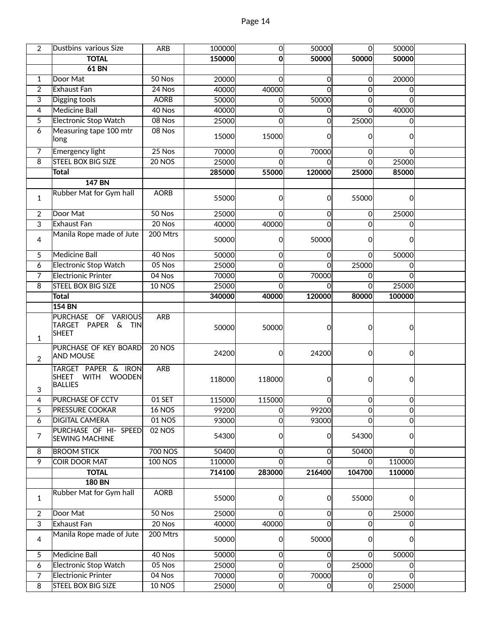| 2              | Dustbins various Size                                      | ARB            | 100000 | 0              | 50000        | 0            | 50000        |  |
|----------------|------------------------------------------------------------|----------------|--------|----------------|--------------|--------------|--------------|--|
|                | <b>TOTAL</b>                                               |                | 150000 | Οl             | 50000        | 50000        | 50000        |  |
|                | <b>61 BN</b>                                               |                |        |                |              |              |              |  |
| $\mathbf{1}$   | Door Mat                                                   | 50 Nos         | 20000  | $\Omega$       | $\Omega$     | 0            | 20000        |  |
| $\overline{2}$ | Exhaust Fan                                                | 24 Nos         | 40000  | 40000          | 0            | 0            | $\Omega$     |  |
| 3              | Digging tools                                              | <b>AORB</b>    | 50000  | 0l             | 50000        | 0            | $\Omega$     |  |
| 4              | <b>Medicine Ball</b>                                       | 40 Nos         | 40000  | $\overline{0}$ | $\Omega$     | $\mathbf{0}$ | 40000        |  |
| 5              | <b>Electronic Stop Watch</b>                               | 08 Nos         | 25000  | $\Omega$       | $\Omega$     | 25000        | $\Omega$     |  |
| 6              | Measuring tape 100 mtr<br>long                             | 08 Nos         | 15000  | 15000          | 0            | 0            | $\Omega$     |  |
| $\overline{7}$ | <b>Emergency light</b>                                     | $25$ Nos       | 70000  | 0              | 70000        | $\Omega$     | <sub>0</sub> |  |
| $\overline{8}$ | <b>STEEL BOX BIG SIZE</b>                                  | <b>20 NOS</b>  | 25000  | $\Omega$       | $\Omega$     | $\Omega$     | 25000        |  |
|                | <b>Total</b>                                               |                | 285000 | 55000          | 120000       | 25000        | 85000        |  |
|                | <b>147 BN</b>                                              |                |        |                |              |              |              |  |
| $\mathbf{1}$   | Rubber Mat for Gym hall                                    | <b>AORB</b>    | 55000  | 0l             | 0            | 55000        | $\Omega$     |  |
| $\overline{2}$ | Door Mat                                                   | 50 Nos         | 25000  | $\Omega$       | 0            | 0            | 25000        |  |
| 3              | <b>Exhaust Fan</b>                                         | 20 Nos         | 40000  | 40000          | 0            | $\Omega$     | $\Omega$     |  |
| 4              | Manila Rope made of Jute                                   | 200 Mtrs       | 50000  | 01             | 50000        | 0            | $\Omega$     |  |
| 5              | <b>Medicine Ball</b>                                       | 40 Nos         | 50000  | $\Omega$       | 0            | 0            | 50000        |  |
| 6              | Electronic Stop Watch                                      | 05 Nos         | 25000  | οl             | $\Omega$     | 25000        | $\Omega$     |  |
| $\overline{7}$ | <b>Electrionic Printer</b>                                 | 04 Nos         | 70000  | $\Omega$       | 70000        | 0            | $\Omega$     |  |
| 8              | STEEL BOX BIG SIZE                                         | <b>10 NOS</b>  | 25000  | $\Omega$       | 0            | $\Omega$     | 25000        |  |
|                | <b>Total</b>                                               |                | 340000 | 40000          | 120000       | 80000        | 100000       |  |
|                | <b>154 BN</b>                                              |                |        |                |              |              |              |  |
| 1              | PURCHASE OF VARIOUS<br>TARGET PAPER & TIN<br><b>SHEET</b>  | ARB            | 50000  | 50000          | 0            | 0            | 0            |  |
| $\overline{2}$ | PURCHASE OF KEY BOARD<br><b>AND MOUSE</b>                  | <b>20 NOS</b>  | 24200  | 0              | 24200        | 0            | <sub>0</sub> |  |
| 3              | TARGET PAPER & IRON<br>SHEET WITH WOODEN<br><b>BALLIES</b> | <b>ARB</b>     | 118000 | 118000         | 0            | 0            | $\Omega$     |  |
| 4              | PURCHASE OF CCTV                                           | 01 SET         | 115000 | 115000         | 0l           | 0            | Οl           |  |
| 5              | <b>PRESSURE COOKAR</b>                                     | $16$ NOS       | 992001 | 이              | 99200        | <sub>0</sub> | <sub>0</sub> |  |
| 6              | <b>DIGITAL CAMERA</b>                                      | 01 NOS         | 93000  | οl             | 93000        | $\Omega$     | $\Omega$     |  |
| $\overline{7}$ | PURCHASE OF HI- SPEED<br><b>SEWING MACHINE</b>             | <b>02 NOS</b>  | 54300  | 0l             | 0            | 54300        | $\Omega$     |  |
| 8              | <b>BROOM STICK</b>                                         | <b>700 NOS</b> | 50400  | 이              | 0            | 50400        | $\Omega$     |  |
| $\overline{9}$ | <b>COIR DOOR MAT</b>                                       | <b>100 NOS</b> | 110000 | $\Omega$       | 0            | 0            | 110000       |  |
|                | <b>TOTAL</b>                                               |                | 714100 | 283000         | 216400       | 104700       | 110000       |  |
|                | <b>180 BN</b>                                              |                |        |                |              |              |              |  |
| $\mathbf{1}$   | <b>Rubber Mat for Gym hall</b>                             | <b>AORB</b>    | 55000  | 0              | 0            | 55000        | $\Omega$     |  |
| $\overline{2}$ | Door Mat                                                   | 50 Nos         | 25000  | 0l             | 0            | 0            | 25000        |  |
| $\overline{3}$ | Exhaust Fan                                                | 20 Nos         | 40000  | 40000          | $\Omega$     | $\Omega$     | 0l           |  |
| $\overline{4}$ | Manila Rope made of Jute                                   | 200 Mtrs       | 50000  | 0              | 50000        | 0            | $\Omega$     |  |
| 5              | <b>Medicine Ball</b>                                       | 40 Nos         | 50000  | 0              | <sub>0</sub> | $\Omega$     | 50000        |  |
| 6              | <b>Electronic Stop Watch</b>                               | 05 Nos         | 25000  | 0              | Οl           | 25000        | 0l           |  |
| 7              | Electrionic Printer                                        | 04 Nos         | 70000  | 0              | 70000        | 0            | $\Omega$     |  |
| 8              | <b>STEEL BOX BIG SIZE</b>                                  | <b>10 NOS</b>  | 25000  | 0l             | 0l           | $\Omega$     | 25000        |  |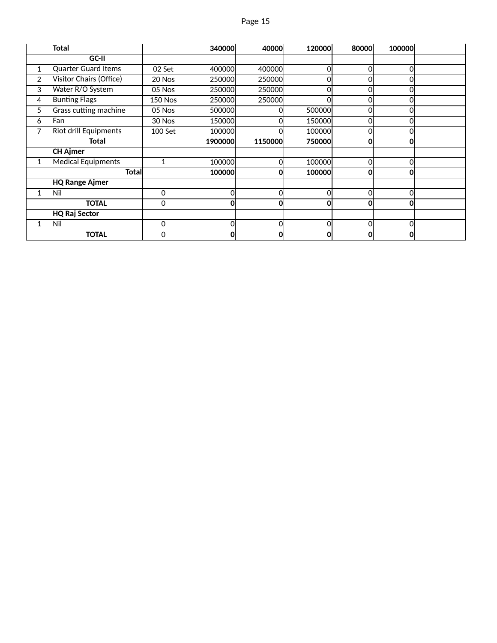|              | <b>Total</b>                 |                | 340000  | 40000   | 120000         | 80000        | 100000 |  |
|--------------|------------------------------|----------------|---------|---------|----------------|--------------|--------|--|
|              | GC-II                        |                |         |         |                |              |        |  |
| 1            | Quarter Guard Items          | 02 Set         | 400000  | 400000  | $\overline{0}$ | 0            | 0      |  |
| 2            | Visitor Chairs (Office)      | 20 Nos         | 250000  | 250000  | Οl             | 0            | 0      |  |
| 3            | Water R/O System             | 05 Nos         | 250000  | 250000  | Ol             | 0            | 0      |  |
| 4            | <b>Bunting Flags</b>         | <b>150 Nos</b> | 250000  | 250000  | $\Omega$       | 0            | 0      |  |
| 5            | Grass cutting machine        | 05 Nos         | 500000  | Ωl      | 500000         | 0            | 0      |  |
| 6            | Fan                          | 30 Nos         | 150000  | ΩI      | 150000         | 0            | 0      |  |
| 7            | <b>Riot drill Equipments</b> | 100 Set        | 100000  |         | 100000         | 0            | 0      |  |
|              | Total                        |                | 1900000 | 1150000 | 750000         | $\mathbf{0}$ | 0      |  |
|              | <b>CH Ajmer</b>              |                |         |         |                |              |        |  |
| 1            | Medical Equipments           | 1              | 100000  | Ωl      | 100000         | 0            | 0      |  |
|              | Totall                       |                | 100000  | 0       | 100000         | 0            | 0      |  |
|              | <b>HQ Range Ajmer</b>        |                |         |         |                |              |        |  |
| $\mathbf{1}$ | Nil                          | $\mathbf 0$    | 0       | Ωl      | $\Omega$       | 0            | 0      |  |
|              | <b>TOTAL</b>                 | $\Omega$       | 0       | O       | 0              | $\mathbf 0$  | 0      |  |
|              | <b>HQ Raj Sector</b>         |                |         |         |                |              |        |  |
|              | Nil                          | $\Omega$       | 0       | Ωl      | Ol             | 0            | 0      |  |
|              | <b>TOTAL</b>                 | 0              | 0       | 0       | 0              | 0            | 0      |  |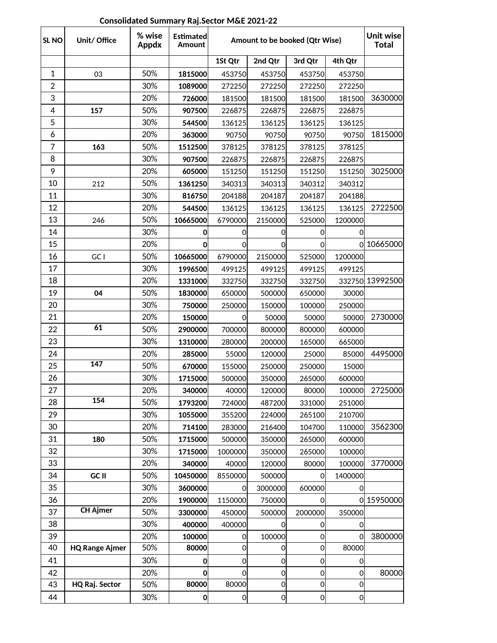| SL <sub>NO</sub> | Unit/ Office          | % wise<br>Appdx | <b>Estimated</b><br>Amount | Amount to be booked (Qtr Wise) |                |                |                | Unit wise<br><b>Total</b> |
|------------------|-----------------------|-----------------|----------------------------|--------------------------------|----------------|----------------|----------------|---------------------------|
|                  |                       |                 |                            | 1St Qtr                        | 2nd Qtr        | 3rd Qtr        | 4th Qtr        |                           |
| 1                | 03                    | 50%             | 1815000                    | 453750                         | 453750         | 453750         | 453750         |                           |
| $\overline{2}$   |                       | 30%             | 1089000                    | 272250                         | 272250         | 272250         | 272250         |                           |
| 3                |                       | 20%             | 726000                     | 181500                         | 181500         | 181500         | 181500         | 3630000                   |
| 4                | 157                   | 50%             | 907500                     | 226875                         | 226875         | 226875         | 226875         |                           |
| 5                |                       | 30%             | 544500                     | 136125                         | 136125         | 136125         | 136125         |                           |
| 6                |                       | 20%             | 363000                     | 90750                          | 90750          | 90750          | 90750          | 1815000                   |
| 7                | 163                   | 50%             | 1512500                    | 378125                         | 378125         | 378125         | 378125         |                           |
| 8                |                       | 30%             | 907500                     | 226875                         | 226875         | 226875         | 226875         |                           |
| 9                |                       | 20%             | 605000                     | 151250                         | 151250         | 151250         | 151250         | 3025000                   |
| 10               | 212                   | 50%             | 1361250                    | 340313                         | 340313         | 340312         | 340312         |                           |
| 11               |                       | 30%             | 816750                     | 204188                         | 204187         | 204187         | 204188         |                           |
| 12               |                       | 20%             | 544500                     | 136125                         | 136125         | 136125         | 136125         | 2722500                   |
| 13               | 246                   | 50%             | 10665000                   | 6790000                        | 2150000        | 525000         | 1200000        |                           |
| 14               |                       | 30%             | 0                          | $\overline{0}$                 | 0              | 0              | 0              |                           |
| 15               |                       | 20%             | 0                          | 0                              | 0              | 0              |                | 0 10665000                |
| 16               | GC I                  | 50%             | 10665000                   | 6790000                        | 2150000        | 525000         | 1200000        |                           |
| 17               |                       | 30%             | 1996500                    | 499125                         | 499125         | 499125         | 499125         |                           |
| 18               |                       | 20%             | 1331000                    | 332750                         | 332750         | 332750         |                | 332750 13992500           |
| 19               | 04                    | 50%             | 1830000                    | 650000                         | 500000         | 650000         | 30000          |                           |
| 20               |                       | 30%             | 750000                     | 250000                         | 150000         | 100000         | 250000         |                           |
| 21               |                       | 20%             | 150000                     | 0                              | 50000          | 50000          | 50000          | 2730000                   |
| 22               | 61                    | 50%             | 2900000                    | 700000                         | 800000         | 800000         | 600000         |                           |
| 23               |                       | 30%             | 1310000                    | 280000                         | 200000         | 165000         | 665000         |                           |
| 24               |                       | 20%             | 285000                     | 55000                          | 120000         | 25000          | 85000          | 4495000                   |
| 25               | 147                   | 50%             | 670000                     | 155000                         | 250000         | 250000         | 15000          |                           |
| 26               |                       | 30%             | 1715000                    | 500000                         | 350000         | 265000         | 600000         |                           |
| 27               |                       | 20%             | 340000                     | 40000                          | 120000         | 80000          | 100000         | 2725000                   |
| 28               | 154                   | 50%             | 1793200                    | 724000                         | 487200         | 331000         | 251000         |                           |
| 29               |                       | 30%             | 1055000                    | 355200                         | 224000         | 265100         | 210700         |                           |
| 30               |                       | 20%             | 714100                     | 283000                         | 216400         | 104700         | 110000         | 3562300                   |
| 31               | 180                   | 50%             | 1715000                    | 500000                         | 350000         | 265000         | 600000         |                           |
| 32               |                       | 30%             | 1715000                    | 1000000                        | 350000         | 265000         | 100000         |                           |
| 33               |                       | 20%             | 340000                     | 40000                          | 120000         | 80000          | 100000         | 3770000                   |
| 34               | GC II                 | 50%             | 10450000                   | 8550000                        | 500000         | <sub>0</sub>   | 1400000        |                           |
| 35               |                       | 30%             | 3600000                    | 0l                             | 3000000        | 600000         | 0              |                           |
| 36               |                       | 20%             | 1900000                    | 1150000                        | 750000         | $\overline{0}$ |                | 0 15950000                |
| 37               | <b>CH Ajmer</b>       | 50%             | 3300000                    | 450000                         | 500000         | 2000000        | 350000         |                           |
| 38               |                       | 30%             | 400000                     | 400000                         | $\overline{O}$ | $\overline{0}$ | 0              |                           |
| 39               |                       | 20%             | 100000                     | $\overline{0}$                 | 100000         | 0              | ΩI             | 3800000                   |
| 40               | <b>HQ Range Ajmer</b> | 50%             | 80000                      | $\overline{0}$                 | $\overline{0}$ | $\overline{0}$ | 80000          |                           |
| 41               |                       | 30%             | $\mathbf 0$                | $\overline{0}$                 | $\mathbf 0$    | $\overline{0}$ | 0              |                           |
| 42               |                       | 20%             | 0                          | $\Omega$                       | $\mathbf 0$    | $\overline{0}$ | 0              | 80000                     |
| 43               | HQ Raj. Sector        | 50%             | 80000                      | 80000                          | $\overline{O}$ | $\overline{0}$ | 0              |                           |
| 44               |                       | 30%             | 0                          | 이                              | $\overline{0}$ | 0              | $\overline{0}$ |                           |

# **Consolidated Summary Raj.Sector M&E 2021-22**